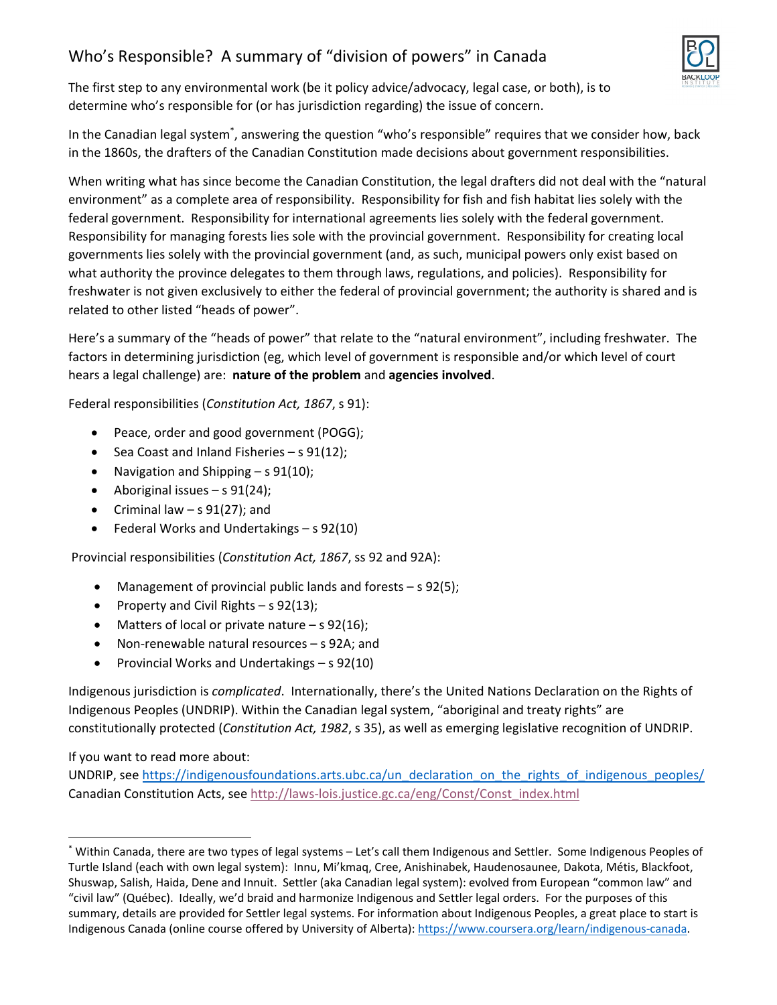## Who's Responsible? A summary of "division of powers" in Canada



The first step to any environmental work (be it policy advice/advocacy, legal case, or both), is to determine who's responsible for (or has jurisdiction regarding) the issue of concern.

In the Canadian legal system<sup>\*</sup>, answering the question "who's responsible" requires that we consider how, back in the 1860s, the drafters of the Canadian Constitution made decisions about government responsibilities.

When writing what has since become the Canadian Constitution, the legal drafters did not deal with the "natural environment" as a complete area of responsibility. Responsibility for fish and fish habitat lies solely with the federal government. Responsibility for international agreements lies solely with the federal government. Responsibility for managing forests lies sole with the provincial government. Responsibility for creating local governments lies solely with the provincial government (and, as such, municipal powers only exist based on what authority the province delegates to them through laws, regulations, and policies). Responsibility for freshwater is not given exclusively to either the federal of provincial government; the authority is shared and is related to other listed "heads of power".

Here's a summary of the "heads of power" that relate to the "natural environment", including freshwater. The factors in determining jurisdiction (eg, which level of government is responsible and/or which level of court hears a legal challenge) are: **nature of the problem** and **agencies involved**.

Federal responsibilities (*Constitution Act, 1867*, s 91):

- Peace, order and good government (POGG);
- Sea Coast and Inland Fisheries s  $91(12)$ ;
- Navigation and Shipping  $s 91(10)$ ;
- Aboriginal issues  $-$  s 91(24);
- Criminal law  $-$  s 91(27); and
- Federal Works and Undertakings s 92(10)

Provincial responsibilities (*Constitution Act, 1867*, ss 92 and 92A):

- Management of provincial public lands and forests s 92(5);
- Property and Civil Rights  $-$  s 92(13);
- $\bullet$  Matters of local or private nature s 92(16);
- Non-renewable natural resources s 92A; and
- Provincial Works and Undertakings s 92(10)

Indigenous jurisdiction is *complicated*. Internationally, there's the United Nations Declaration on the Rights of Indigenous Peoples (UNDRIP). Within the Canadian legal system, "aboriginal and treaty rights" are constitutionally protected (*Constitution Act, 1982*, s 35), as well as emerging legislative recognition of UNDRIP.

If you want to read more about:

UNDRIP, see https://indigenousfoundations.arts.ubc.ca/un\_declaration\_on\_the\_rights\_of\_indigenous\_peoples/ Canadian Constitution Acts, see http://laws-lois.justice.gc.ca/eng/Const/Const\_index.html

<sup>\*</sup> Within Canada, there are two types of legal systems – Let's call them Indigenous and Settler. Some Indigenous Peoples of Turtle Island (each with own legal system): Innu, Mi'kmaq, Cree, Anishinabek, Haudenosaunee, Dakota, Métis, Blackfoot, Shuswap, Salish, Haida, Dene and Innuit. Settler (aka Canadian legal system): evolved from European "common law" and "civil law" (Québec). Ideally, we'd braid and harmonize Indigenous and Settler legal orders. For the purposes of this summary, details are provided for Settler legal systems. For information about Indigenous Peoples, a great place to start is Indigenous Canada (online course offered by University of Alberta): https://www.coursera.org/learn/indigenous‐canada.